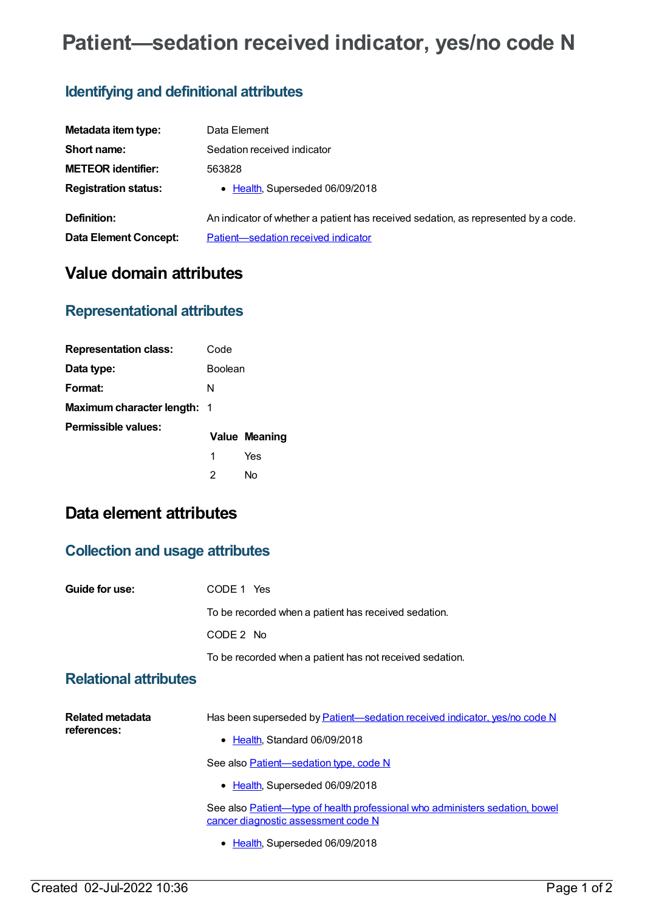# **Patient—sedation received indicator, yes/no code N**

# **Identifying and definitional attributes**

| Metadata item type:         | Data Element                                                                       |
|-----------------------------|------------------------------------------------------------------------------------|
| Short name:                 | Sedation received indicator                                                        |
| <b>METEOR identifier:</b>   | 563828                                                                             |
| <b>Registration status:</b> | • Health, Superseded 06/09/2018                                                    |
| Definition:                 | An indicator of whether a patient has received sedation, as represented by a code. |
| Data Element Concept:       | Patient-sedation received indicator                                                |

# **Value domain attributes**

### **Representational attributes**

| <b>Representation class:</b> | Code           |               |
|------------------------------|----------------|---------------|
| Data type:                   | <b>Boolean</b> |               |
| Format:                      | N              |               |
| Maximum character length: 1  |                |               |
| Permissible values:          |                | Value Meaning |
|                              | 1              | Yes           |
|                              | 2              | N٥            |

# **Data element attributes**

#### **Collection and usage attributes**

| Guide for use:                  | CODE 1 Yes                                                                                                          |
|---------------------------------|---------------------------------------------------------------------------------------------------------------------|
|                                 | To be recorded when a patient has received sedation.                                                                |
|                                 | CODE 2 No                                                                                                           |
|                                 | To be recorded when a patient has not received sedation.                                                            |
| <b>Relational attributes</b>    |                                                                                                                     |
| Related metadata<br>references: | Has been superseded by <b>Patient</b> —sedation received indicator, yes/no code N<br>• Health, Standard 06/09/2018  |
|                                 | See also <b>Patient</b> —sedation type, code N                                                                      |
|                                 | • Health, Superseded 06/09/2018                                                                                     |
|                                 | See also Patient—type of health professional who administers sedation, bowel<br>cancer diagnostic assessment code N |
|                                 | • Health, Superseded 06/09/2018                                                                                     |